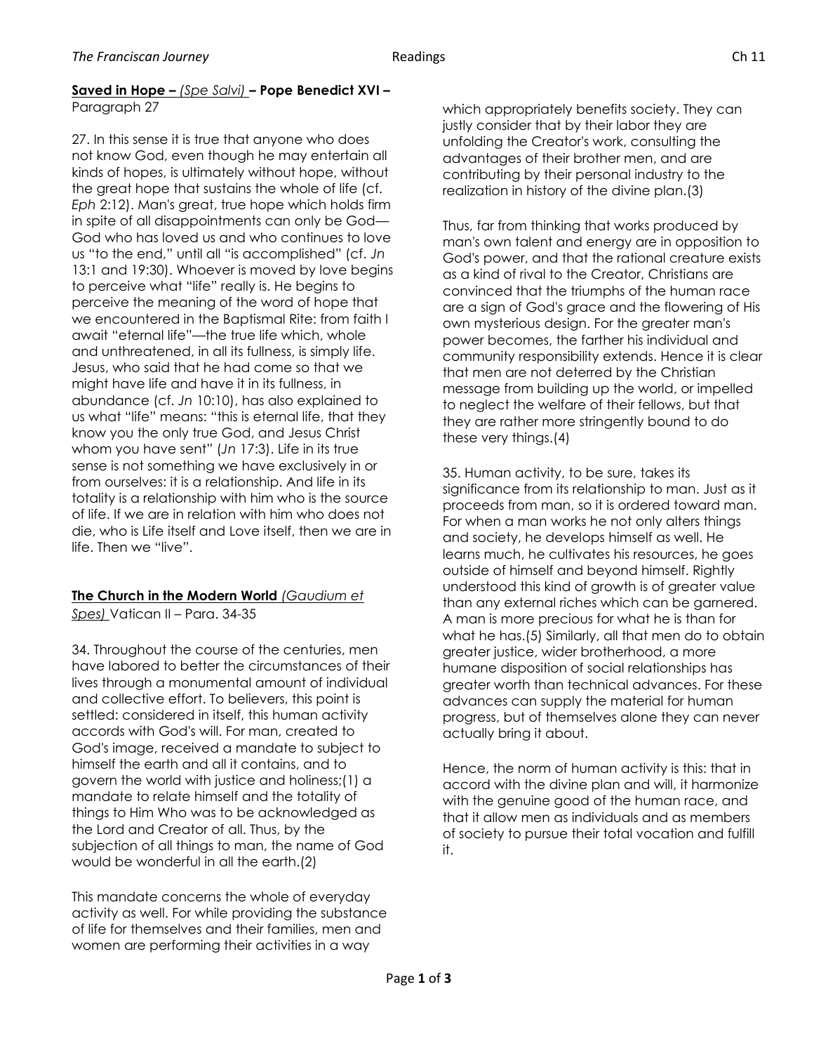## **Saved in Hope –** *(Spe Salvi)* **– Pope Benedict XVI –** Paragraph 27

27. In this sense it is true that anyone who does not know God, even though he may entertain all kinds of hopes, is ultimately without hope, without the great hope that sustains the whole of life (cf. *Eph* 2:12). Man's great, true hope which holds firm in spite of all disappointments can only be God— God who has loved us and who continues to love us "to the end," until all "is accomplished" (cf. *Jn* 13:1 and 19:30). Whoever is moved by love begins to perceive what "life" really is. He begins to perceive the meaning of the word of hope that we encountered in the Baptismal Rite: from faith I await "eternal life"—the true life which, whole and unthreatened, in all its fullness, is simply life. Jesus, who said that he had come so that we might have life and have it in its fullness, in abundance (cf. *Jn* 10:10), has also explained to us what "life" means: "this is eternal life, that they know you the only true God, and Jesus Christ whom you have sent" (*Jn* 17:3). Life in its true sense is not something we have exclusively in or from ourselves: it is a relationship. And life in its totality is a relationship with him who is the source of life. If we are in relation with him who does not die, who is Life itself and Love itself, then we are in life. Then we "live".

## **The Church in the Modern World** *(Gaudium et Spes)* Vatican II – Para. 34-35

34. Throughout the course of the centuries, men have labored to better the circumstances of their lives through a monumental amount of individual and collective effort. To believers, this point is settled: considered in itself, this human activity accords with God's will. For man, created to God's image, received a mandate to subject to himself the earth and all it contains, and to govern the world with justice and holiness;(1) a mandate to relate himself and the totality of things to Him Who was to be acknowledged as the Lord and Creator of all. Thus, by the subjection of all things to man, the name of God would be wonderful in all the earth.(2)

This mandate concerns the whole of everyday activity as well. For while providing the substance of life for themselves and their families, men and women are performing their activities in a way

which appropriately benefits society. They can justly consider that by their labor they are unfolding the Creator's work, consulting the advantages of their brother men, and are contributing by their personal industry to the realization in history of the divine plan.(3)

Thus, far from thinking that works produced by man's own talent and energy are in opposition to God's power, and that the rational creature exists as a kind of rival to the Creator, Christians are convinced that the triumphs of the human race are a sign of God's grace and the flowering of His own mysterious design. For the greater man's power becomes, the farther his individual and community responsibility extends. Hence it is clear that men are not deterred by the Christian message from building up the world, or impelled to neglect the welfare of their fellows, but that they are rather more stringently bound to do these very things.(4)

35. Human activity, to be sure, takes its significance from its relationship to man. Just as it proceeds from man, so it is ordered toward man. For when a man works he not only alters things and society, he develops himself as well. He learns much, he cultivates his resources, he goes outside of himself and beyond himself. Rightly understood this kind of growth is of greater value than any external riches which can be garnered. A man is more precious for what he is than for what he has.(5) Similarly, all that men do to obtain greater justice, wider brotherhood, a more humane disposition of social relationships has greater worth than technical advances. For these advances can supply the material for human progress, but of themselves alone they can never actually bring it about.

Hence, the norm of human activity is this: that in accord with the divine plan and will, it harmonize with the genuine good of the human race, and that it allow men as individuals and as members of society to pursue their total vocation and fulfill it.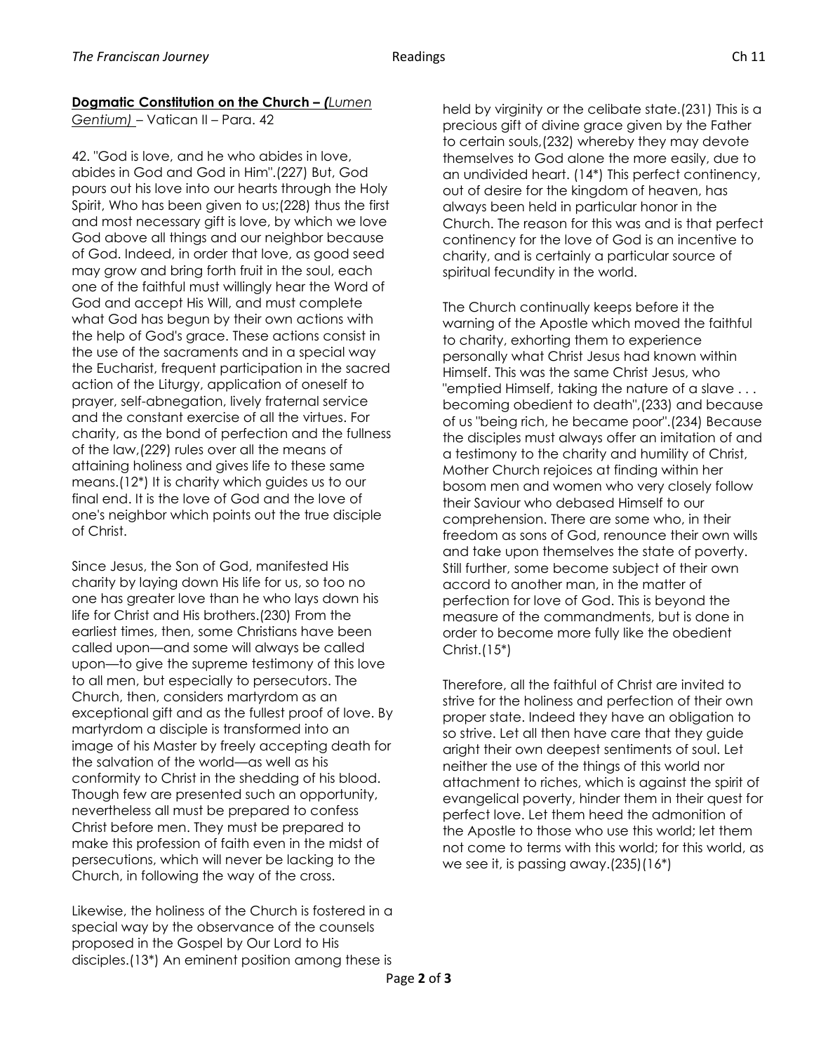## **Dogmatic Constitution on the Church –** *(Lumen*

*Gentium)* – Vatican II – Para. 42

42. "God is love, and he who abides in love, abides in God and God in Him".(227) But, God pours out his love into our hearts through the Holy Spirit, Who has been given to us;(228) thus the first and most necessary gift is love, by which we love God above all things and our neighbor because of God. Indeed, in order that love, as good seed may grow and bring forth fruit in the soul, each one of the faithful must willingly hear the Word of God and accept His Will, and must complete what God has begun by their own actions with the help of God's grace. These actions consist in the use of the sacraments and in a special way the Eucharist, frequent participation in the sacred action of the Liturgy, application of oneself to prayer, self-abnegation, lively fraternal service and the constant exercise of all the virtues. For charity, as the bond of perfection and the fullness of the law,(229) rules over all the means of attaining holiness and gives life to these same means.(12\*) It is charity which guides us to our final end. It is the love of God and the love of one's neighbor which points out the true disciple of Christ.

Since Jesus, the Son of God, manifested His charity by laying down His life for us, so too no one has greater love than he who lays down his life for Christ and His brothers.(230) From the earliest times, then, some Christians have been called upon—and some will always be called upon—to give the supreme testimony of this love to all men, but especially to persecutors. The Church, then, considers martyrdom as an exceptional gift and as the fullest proof of love. By martyrdom a disciple is transformed into an image of his Master by freely accepting death for the salvation of the world—as well as his conformity to Christ in the shedding of his blood. Though few are presented such an opportunity, nevertheless all must be prepared to confess Christ before men. They must be prepared to make this profession of faith even in the midst of persecutions, which will never be lacking to the Church, in following the way of the cross.

Likewise, the holiness of the Church is fostered in a special way by the observance of the counsels proposed in the Gospel by Our Lord to His disciples.(13\*) An eminent position among these is held by virginity or the celibate state.(231) This is a precious gift of divine grace given by the Father to certain souls,(232) whereby they may devote themselves to God alone the more easily, due to an undivided heart. (14\*) This perfect continency, out of desire for the kingdom of heaven, has always been held in particular honor in the Church. The reason for this was and is that perfect continency for the love of God is an incentive to charity, and is certainly a particular source of spiritual fecundity in the world.

The Church continually keeps before it the warning of the Apostle which moved the faithful to charity, exhorting them to experience personally what Christ Jesus had known within Himself. This was the same Christ Jesus, who "emptied Himself, taking the nature of a slave . . . becoming obedient to death",(233) and because of us "being rich, he became poor".(234) Because the disciples must always offer an imitation of and a testimony to the charity and humility of Christ, Mother Church rejoices at finding within her bosom men and women who very closely follow their Saviour who debased Himself to our comprehension. There are some who, in their freedom as sons of God, renounce their own wills and take upon themselves the state of poverty. Still further, some become subject of their own accord to another man, in the matter of perfection for love of God. This is beyond the measure of the commandments, but is done in order to become more fully like the obedient Christ.(15\*)

Therefore, all the faithful of Christ are invited to strive for the holiness and perfection of their own proper state. Indeed they have an obligation to so strive. Let all then have care that they guide aright their own deepest sentiments of soul. Let neither the use of the things of this world nor attachment to riches, which is against the spirit of evangelical poverty, hinder them in their quest for perfect love. Let them heed the admonition of the Apostle to those who use this world; let them not come to terms with this world; for this world, as we see it, is passing away.(235)(16\*)